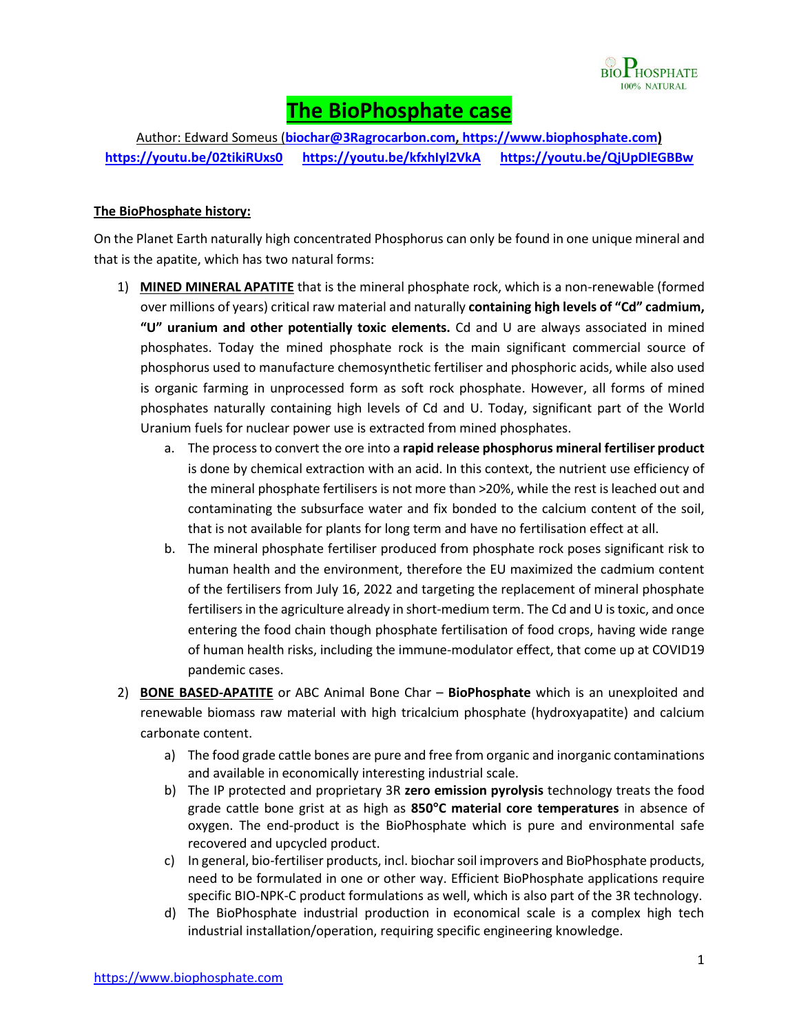

# **The BioPhosphate case**

Author: Edward Someus (**[biochar@3Ragrocarbon.com,](mailto:biochar@3Ragrocarbon.com) [https://www.biophosphate.com\)](https://www.biophosphate.com/) <https://youtu.be/02tikiRUxs0><https://youtu.be/kfxhIyl2VkA> <https://youtu.be/QjUpDlEGBBw>**

#### **The BioPhosphate history:**

On the Planet Earth naturally high concentrated Phosphorus can only be found in one unique mineral and that is the apatite, which has two natural forms:

- 1) **MINED MINERAL APATITE** that is the mineral phosphate rock, which is a non-renewable (formed over millions of years) critical raw material and naturally **containing high levels of "Cd" cadmium, "U" uranium and other potentially toxic elements.** Cd and U are always associated in mined phosphates. Today the mined phosphate rock is the main significant commercial source of phosphorus used to manufacture chemosynthetic fertiliser and phosphoric acids, while also used is organic farming in unprocessed form as soft rock phosphate. However, all forms of mined phosphates naturally containing high levels of Cd and U. Today, significant part of the World Uranium fuels for nuclear power use is extracted from mined phosphates.
	- a. The process to convert the ore into a **rapid release phosphorus mineral fertiliser product**  is done by chemical extraction with an acid. In this context, the nutrient use efficiency of the mineral phosphate fertilisers is not more than >20%, while the rest is leached out and contaminating the subsurface water and fix bonded to the calcium content of the soil, that is not available for plants for long term and have no fertilisation effect at all.
	- b. The mineral phosphate fertiliser produced from phosphate rock poses significant risk to human health and the environment, therefore the EU maximized the cadmium content of the fertilisers from July 16, 2022 and targeting the replacement of mineral phosphate fertilisers in the agriculture already in short-medium term. The Cd and U is toxic, and once entering the food chain though phosphate fertilisation of food crops, having wide range of human health risks, including the immune-modulator effect, that come up at COVID19 pandemic cases.
- 2) **BONE BASED-APATITE** or ABC Animal Bone Char **BioPhosphate** which is an unexploited and renewable biomass raw material with high tricalcium phosphate [\(hydroxyapatite\)](https://en.wikipedia.org/wiki/Hydroxyapatite) and [calcium](https://en.wikipedia.org/wiki/Calcium_carbonate)  [carbonate](https://en.wikipedia.org/wiki/Calcium_carbonate) content.
	- a) The food grade cattle bones are pure and free from organic and inorganic contaminations and available in economically interesting industrial scale.
	- b) The IP protected and proprietary 3R **zero emission pyrolysis** technology treats the food grade cattle bone grist at as high as **850°C material core temperatures** in absence of oxygen. The end-product is the BioPhosphate which is pure and environmental safe recovered and upcycled product.
	- c) In general, bio-fertiliser products, incl. biochar soil improvers and BioPhosphate products, need to be formulated in one or other way. Efficient BioPhosphate applications require specific BIO-NPK-C product formulations as well, which is also part of the 3R technology.
	- d) The BioPhosphate industrial production in economical scale is a complex high tech industrial installation/operation, requiring specific engineering knowledge.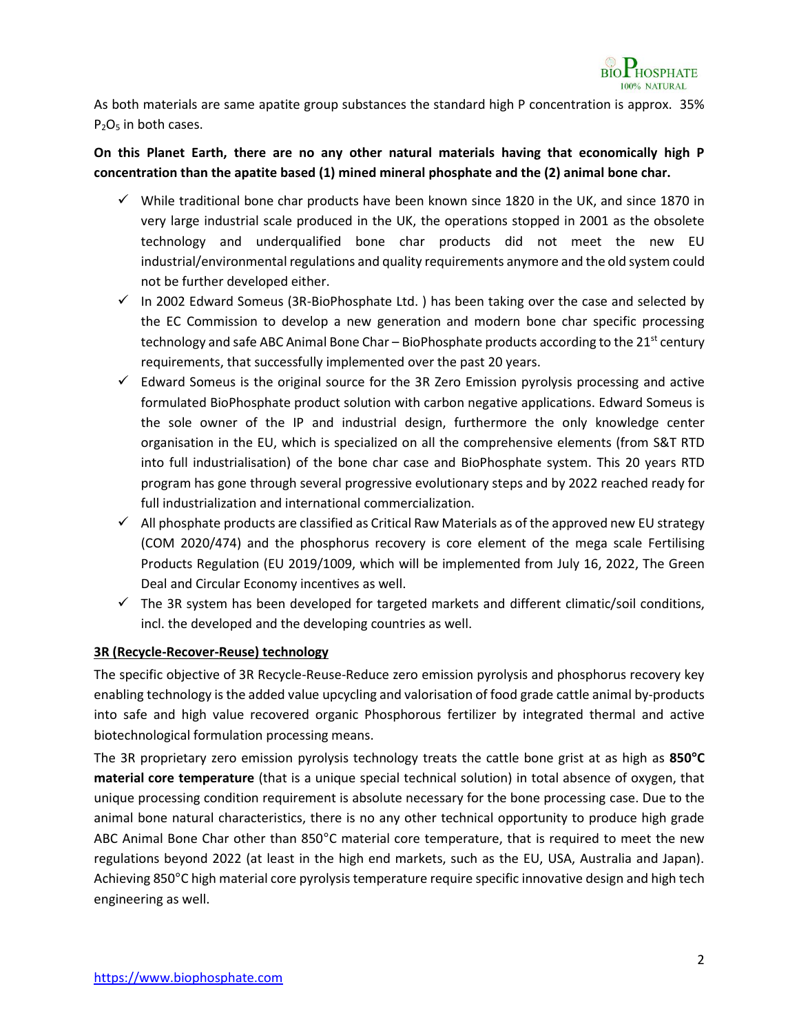

As both materials are same apatite group substances the standard high P concentration is approx. 35% P<sub>2</sub>O<sub>5</sub> in both cases.

## **On this Planet Earth, there are no any other natural materials having that economically high P concentration than the apatite based (1) mined mineral phosphate and the (2) animal bone char.**

- $\checkmark$  While traditional bone char products have been known since 1820 in the UK, and since 1870 in very large industrial scale produced in the UK, the operations stopped in 2001 as the obsolete technology and underqualified bone char products did not meet the new EU industrial/environmental regulations and quality requirements anymore and the old system could not be further developed either.
- $\checkmark$  In 2002 Edward Someus (3R-BioPhosphate Ltd. ) has been taking over the case and selected by the EC Commission to develop a new generation and modern bone char specific processing technology and safe ABC Animal Bone Char – BioPhosphate products according to the  $21^{st}$  century requirements, that successfully implemented over the past 20 years.
- $\checkmark$  Edward Someus is the original source for the 3R Zero Emission pyrolysis processing and active formulated BioPhosphate product solution with carbon negative applications. Edward Someus is the sole owner of the IP and industrial design, furthermore the only knowledge center organisation in the EU, which is specialized on all the comprehensive elements (from S&T RTD into full industrialisation) of the bone char case and BioPhosphate system. This 20 years RTD program has gone through several progressive evolutionary steps and by 2022 reached ready for full industrialization and international commercialization.
- $\checkmark$  All phosphate products are classified as Critical Raw Materials as of the approved new EU strategy (COM 2020/474) and the phosphorus recovery is core element of the mega scale Fertilising Products Regulation (EU 2019/1009, which will be implemented from July 16, 2022, The Green Deal and Circular Economy incentives as well.
- $\checkmark$  The 3R system has been developed for targeted markets and different climatic/soil conditions, incl. the developed and the developing countries as well.

#### **3R (Recycle-Recover-Reuse) technology**

The specific objective of 3R Recycle-Reuse-Reduce zero emission pyrolysis and phosphorus recovery key enabling technology is the added value upcycling and valorisation of food grade cattle animal by-products into safe and high value recovered organic Phosphorous fertilizer by integrated thermal and active biotechnological formulation processing means.

The 3R proprietary zero emission pyrolysis technology treats the cattle bone grist at as high as **850°C material core temperature** (that is a unique special technical solution) in total absence of oxygen, that unique processing condition requirement is absolute necessary for the bone processing case. Due to the animal bone natural characteristics, there is no any other technical opportunity to produce high grade ABC Animal Bone Char other than 850°C material core temperature, that is required to meet the new regulations beyond 2022 (at least in the high end markets, such as the EU, USA, Australia and Japan). Achieving 850°C high material core pyrolysis temperature require specific innovative design and high tech engineering as well.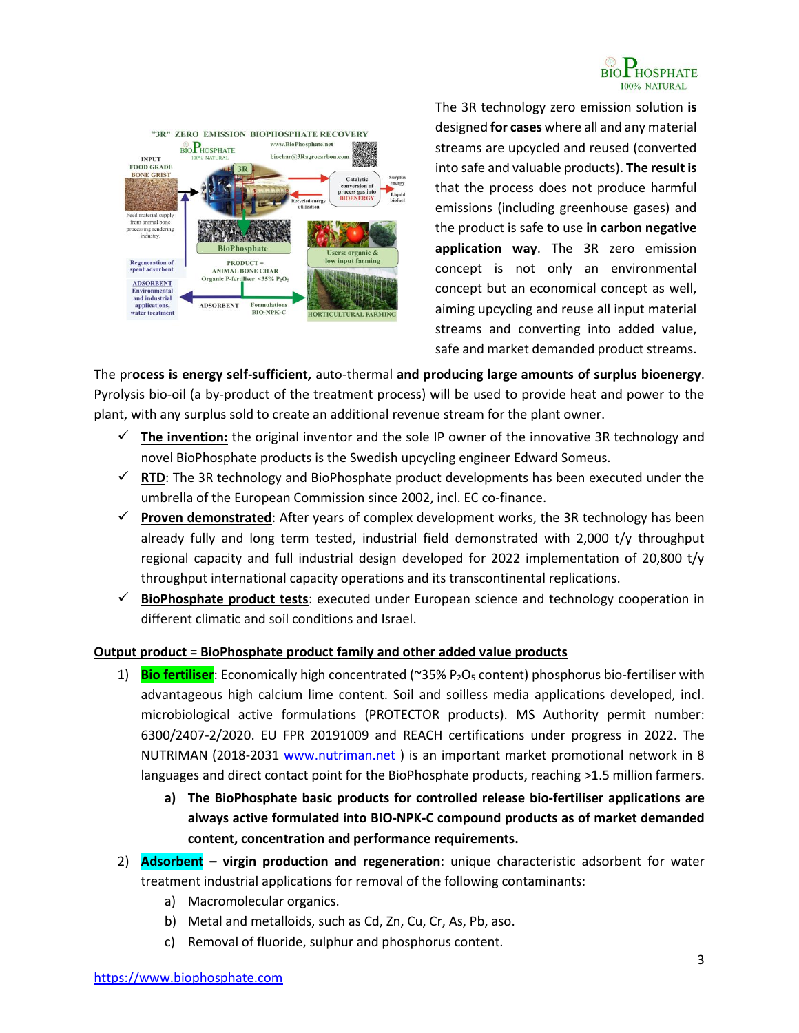



The 3R technology zero emission solution **is** designed **for cases** where all and any material streams are upcycled and reused (converted into safe and valuable products). **The result is**  that the process does not produce harmful emissions (including greenhouse gases) and the product is safe to use **in carbon negative application way**. The 3R zero emission concept is not only an environmental concept but an economical concept as well, aiming upcycling and reuse all input material streams and converting into added value, safe and market demanded product streams.

The pr**ocess is energy self-sufficient,** auto-thermal **and producing large amounts of surplus bioenergy**. Pyrolysis bio-oil (a by-product of the treatment process) will be used to provide heat and power to the plant, with any surplus sold to create an additional revenue stream for the plant owner.

- $\checkmark$  The invention: the original inventor and the sole IP owner of the innovative 3R technology and novel BioPhosphate products is the Swedish upcycling engineer Edward Someus.
- $\checkmark$  **RTD**: The 3R technology and BioPhosphate product developments has been executed under the umbrella of the European Commission since 2002, incl. EC co-finance.
- **Proven demonstrated**: After years of complex development works, the 3R technology has been already fully and long term tested, industrial field demonstrated with 2,000 t/y throughput regional capacity and full industrial design developed for 2022 implementation of 20,800 t/y throughput international capacity operations and its transcontinental replications.
- **BioPhosphate product tests**: executed under European science and technology cooperation in different climatic and soil conditions and Israel.

### **Output product = BioPhosphate product family and other added value products**

- 1) **Bio fertiliser**: Economically high concentrated (~35% P2O<sup>5</sup> content) phosphorus bio-fertiliser with advantageous high calcium lime content. Soil and soilless media applications developed, incl. microbiological active formulations (PROTECTOR products). MS Authority permit number: 6300/2407-2/2020. EU FPR 20191009 and REACH certifications under progress in 2022. The NUTRIMAN (2018-2031 [www.nutriman.net](http://www.nutriman.net/) ) is an important market promotional network in 8 languages and direct contact point for the BioPhosphate products, reaching >1.5 million farmers.
	- **a) The BioPhosphate basic products for controlled release bio-fertiliser applications are always active formulated into BIO-NPK-C compound products as of market demanded content, concentration and performance requirements.**
- 2) **Adsorbent – virgin production and regeneration**: unique characteristic adsorbent for water treatment industrial applications for removal of the following contaminants:
	- a) Macromolecular organics.
	- b) Metal and metalloids, such as Cd, Zn, Cu, Cr, As, Pb, aso.
	- c) Removal of fluoride, sulphur and phosphorus content.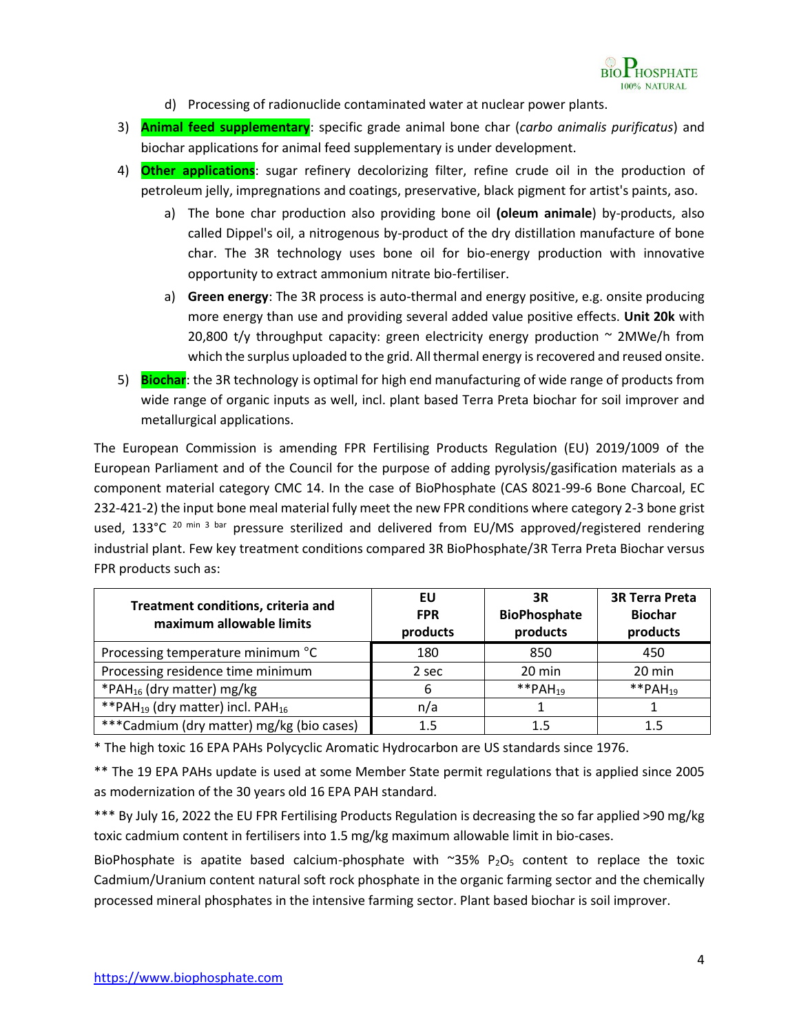

- d) Processing of radionuclide contaminated water at nuclear power plants.
- 3) **Animal feed supplementary**: specific grade animal bone char (*carbo animalis purificatus*) and biochar applications for animal feed supplementary is under development.
- 4) **Other applications**: sugar refinery decolorizing filter, refine [crude oil](https://en.wikipedia.org/wiki/Petroleum) in the production of petroleum jelly, impregnations and coatings, preservative, black [pigment](https://en.wikipedia.org/wiki/Pigment) fo[r artist's paints](https://en.wikipedia.org/wiki/Paint), aso.
	- a) The bone char production also providing bone oil **(oleum animale**) by-products, also called [Dippel's oil,](https://en.wikipedia.org/wiki/Dippel%27s_oil) a nitrogenous by-product of the dry distillation manufacture of bone char. The 3R technology uses bone oil for bio-energy production with innovative opportunity to extract ammonium nitrate bio-fertiliser.
	- a) **Green energy**: The 3R process is auto-thermal and energy positive, e.g. onsite producing more energy than use and providing several added value positive effects. **Unit 20k** with 20,800 t/y throughput capacity: green electricity energy production  $\sim$  2MWe/h from which the surplus uploaded to the grid. All thermal energy is recovered and reused onsite.
- 5) **Biochar**: the 3R technology is optimal for high end manufacturing of wide range of products from wide range of organic inputs as well, incl. plant based Terra Preta biochar for soil improver and metallurgical applications.

The European Commission is amending FPR Fertilising Products Regulation (EU) 2019/1009 of the European Parliament and of the Council for the purpose of adding pyrolysis/gasification materials as a component material category CMC 14. In the case of BioPhosphate (CAS 8021-99-6 Bone Charcoal, EC 232-421-2) the input bone meal material fully meet the new FPR conditions where category 2-3 bone grist used, 133°C  $^{20}$  min 3 bar pressure sterilized and delivered from EU/MS approved/registered rendering industrial plant. Few key treatment conditions compared 3R BioPhosphate/3R Terra Preta Biochar versus FPR products such as:

| Treatment conditions, criteria and<br>maximum allowable limits | EU<br><b>FPR</b><br>products | 3R<br><b>BioPhosphate</b><br>products | <b>3R Terra Preta</b><br><b>Biochar</b><br>products |
|----------------------------------------------------------------|------------------------------|---------------------------------------|-----------------------------------------------------|
| Processing temperature minimum °C                              | 180                          | 850                                   | 450                                                 |
| Processing residence time minimum                              | 2 sec                        | 20 min                                | 20 min                                              |
| *PAH <sub>16</sub> (dry matter) mg/kg                          | 6                            | **PAH <sub>19</sub>                   | **PAH <sub>19</sub>                                 |
| ** PAH <sub>19</sub> (dry matter) incl. PAH <sub>16</sub>      | n/a                          |                                       |                                                     |
| ***Cadmium (dry matter) mg/kg (bio cases)                      | $1.5\,$                      | 1.5                                   |                                                     |

\* The high toxic 16 EPA PAHs Polycyclic Aromatic Hydrocarbon are US standards since 1976.

\*\* The 19 EPA PAHs update is used at some Member State permit regulations that is applied since 2005 as modernization of the 30 years old 16 EPA PAH standard.

\*\*\* By July 16, 2022 the EU FPR Fertilising Products Regulation is decreasing the so far applied >90 mg/kg toxic cadmium content in fertilisers into 1.5 mg/kg maximum allowable limit in bio-cases.

BioPhosphate is apatite based calcium-phosphate with  $\sim$ 35% P<sub>2</sub>O<sub>5</sub> content to replace the toxic Cadmium/Uranium content natural soft rock phosphate in the organic farming sector and the chemically processed mineral phosphates in the intensive farming sector. Plant based biochar is soil improver.